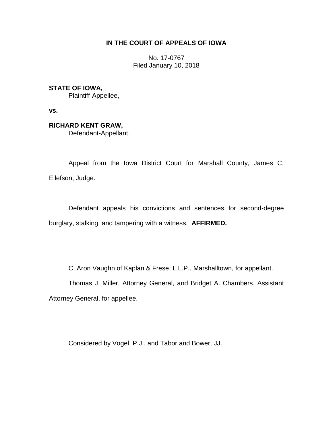# **IN THE COURT OF APPEALS OF IOWA**

No. 17-0767 Filed January 10, 2018

**STATE OF IOWA,** Plaintiff-Appellee,

**vs.**

**RICHARD KENT GRAW,** Defendant-Appellant.

Appeal from the Iowa District Court for Marshall County, James C. Ellefson, Judge.

\_\_\_\_\_\_\_\_\_\_\_\_\_\_\_\_\_\_\_\_\_\_\_\_\_\_\_\_\_\_\_\_\_\_\_\_\_\_\_\_\_\_\_\_\_\_\_\_\_\_\_\_\_\_\_\_\_\_\_\_\_\_\_\_

Defendant appeals his convictions and sentences for second-degree burglary, stalking, and tampering with a witness. **AFFIRMED.**

C. Aron Vaughn of Kaplan & Frese, L.L.P., Marshalltown, for appellant.

Thomas J. Miller, Attorney General, and Bridget A. Chambers, Assistant Attorney General, for appellee.

Considered by Vogel, P.J., and Tabor and Bower, JJ.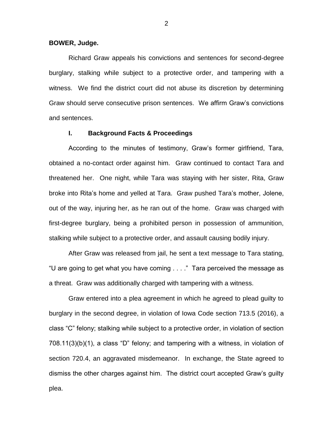## **BOWER, Judge.**

Richard Graw appeals his convictions and sentences for second-degree burglary, stalking while subject to a protective order, and tampering with a witness. We find the district court did not abuse its discretion by determining Graw should serve consecutive prison sentences. We affirm Graw's convictions and sentences.

# **I. Background Facts & Proceedings**

According to the minutes of testimony, Graw's former girlfriend, Tara, obtained a no-contact order against him. Graw continued to contact Tara and threatened her. One night, while Tara was staying with her sister, Rita, Graw broke into Rita's home and yelled at Tara. Graw pushed Tara's mother, Jolene, out of the way, injuring her, as he ran out of the home. Graw was charged with first-degree burglary, being a prohibited person in possession of ammunition, stalking while subject to a protective order, and assault causing bodily injury.

After Graw was released from jail, he sent a text message to Tara stating, "U are going to get what you have coming . . . ." Tara perceived the message as a threat. Graw was additionally charged with tampering with a witness.

Graw entered into a plea agreement in which he agreed to plead guilty to burglary in the second degree, in violation of Iowa Code section 713.5 (2016), a class "C" felony; stalking while subject to a protective order, in violation of section 708.11(3)(b)(1), a class "D" felony; and tampering with a witness, in violation of section 720.4, an aggravated misdemeanor. In exchange, the State agreed to dismiss the other charges against him. The district court accepted Graw's guilty plea.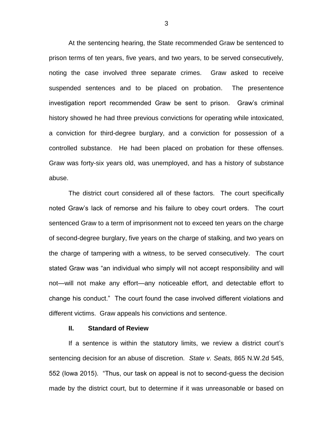At the sentencing hearing, the State recommended Graw be sentenced to prison terms of ten years, five years, and two years, to be served consecutively, noting the case involved three separate crimes. Graw asked to receive suspended sentences and to be placed on probation. The presentence investigation report recommended Graw be sent to prison. Graw's criminal history showed he had three previous convictions for operating while intoxicated, a conviction for third-degree burglary, and a conviction for possession of a controlled substance. He had been placed on probation for these offenses. Graw was forty-six years old, was unemployed, and has a history of substance abuse.

The district court considered all of these factors. The court specifically noted Graw's lack of remorse and his failure to obey court orders. The court sentenced Graw to a term of imprisonment not to exceed ten years on the charge of second-degree burglary, five years on the charge of stalking, and two years on the charge of tampering with a witness, to be served consecutively. The court stated Graw was "an individual who simply will not accept responsibility and will not—will not make any effort—any noticeable effort, and detectable effort to change his conduct." The court found the case involved different violations and different victims. Graw appeals his convictions and sentence.

#### **II. Standard of Review**

If a sentence is within the statutory limits, we review a district court's sentencing decision for an abuse of discretion. *State v. Seats,* 865 N.W.2d 545, 552 (Iowa 2015). "Thus, our task on appeal is not to second-guess the decision made by the district court, but to determine if it was unreasonable or based on

3